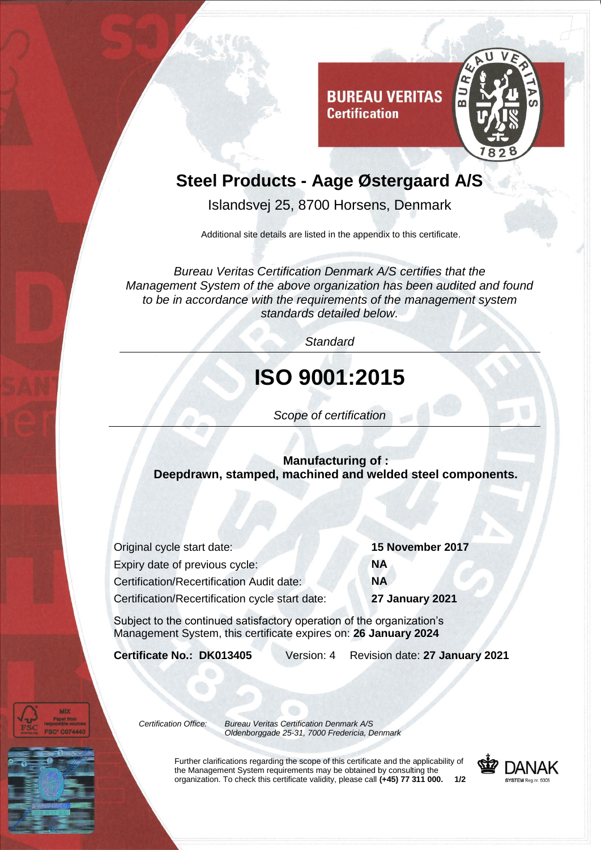

## **Steel Products - Aage Østergaard A/S**

**Certification** 

Islandsvej 25, 8700 Horsens, Denmark

Additional site details are listed in the appendix to this certificate.

*Bureau Veritas Certification Denmark A/S certifies that the Management System of the above organization has been audited and found to be in accordance with the requirements of the management system standards detailed below.*

*Standard*

## **ISO 9001:2015**

*Scope of certification*

**Manufacturing of : Deepdrawn, stamped, machined and welded steel components.**

| Original cycle start date:                      | 15        |
|-------------------------------------------------|-----------|
| Expiry date of previous cycle:                  | <b>NA</b> |
| Certification/Recertification Audit date:       |           |
| Certification/Recertification cycle start date: |           |

Original cycle start date: **15 November 2017** Certification/Recertification cycle start date: **27 January 2021**

Subject to the continued satisfactory operation of the organization's Management System, this certificate expires on: **26 January 2024**

**Certificate No.: DK013405** Version: 4 Revision date: **27 January 2021**

*Certification Office: Bureau Veritas Certification Denmark A/S Oldenborggade 25-31, 7000 Fredericia, Denmark*

> Further clarifications regarding the scope of this certificate and the applicability of the Management System requirements may be obtained by consulting the organization. To check this certificate validity, please call **(+45) 77 311 000. 1/2**